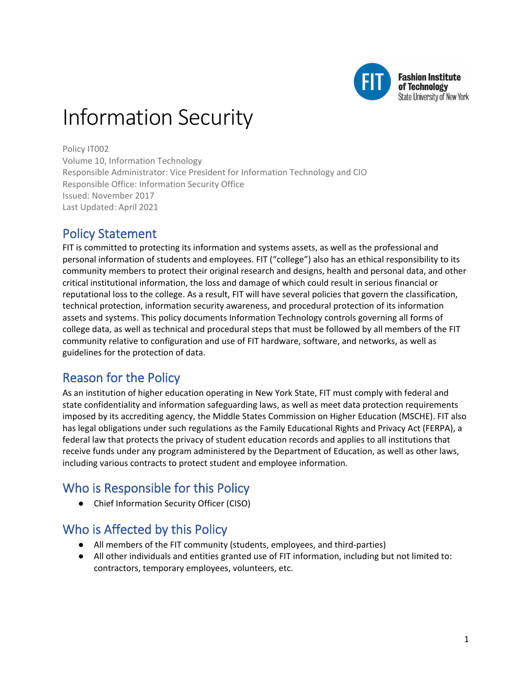

**Fashion Institute** of Technology **State University of New York** 

# Information Security

Policy IT002

Volume 10, Information Technology Responsible Administrator: Vice President for Information Technology and CIO Responsible Office: Information Security Office Issued: November 2017 Last Updated: April 2021

# Policy Statement

FIT is committed to protecting its information and systems assets, as well as the professional and personal information of students and employees. FIT ("college") also has an ethical responsibility to its community members to protect their original research and designs, health and personal data, and other critical institutional information, the loss and damage of which could result in serious financial or reputational loss to the college. As a result, FIT will have several policies that govern the classification, technical protection, information security awareness, and procedural protection of its information assets and systems. This policy documents Information Technology controls governing all forms of college data, as well as technical and procedural steps that must be followed by all members of the FIT community relative to configuration and use of FIT hardware, software, and networks, as well as guidelines for the protection of data.

# Reason for the Policy

As an institution of higher education operating in New York State, FIT must comply with federal and state confidentiality and information safeguarding laws, as well as meet data protection requirements imposed by its accrediting agency, the Middle States Commission on Higher Education (MSCHE). FIT also has legal obligations under such regulations as the Family Educational Rights and Privacy Act (FERPA), a federal law that protects the privacy of student education records and applies to all institutions that receive funds under any program administered by the Department of Education, as well as other laws, including various contracts to protect student and employee information.

# Who is Responsible for this Policy

● Chief Information Security Officer (CISO)

# Who is Affected by this Policy

- All members of the FIT community (students, employees, and third-parties)
- All other individuals and entities granted use of FIT information, including but not limited to: contractors, temporary employees, volunteers, etc.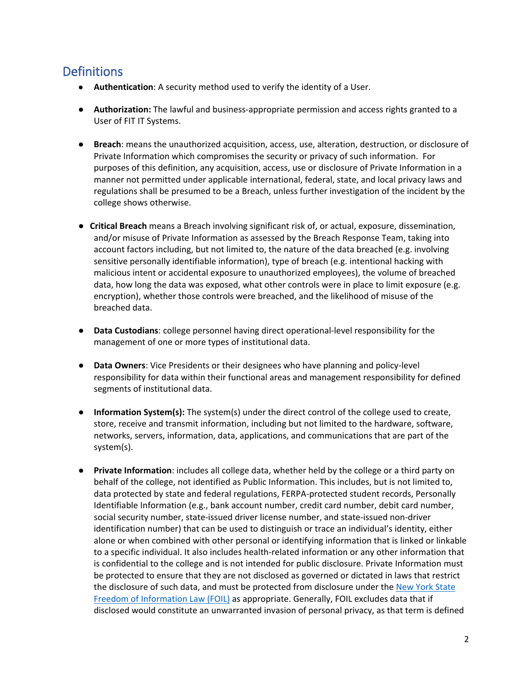# **Definitions**

- **Authentication**: A security method used to verify the identity of a User.
- **Authorization:** The lawful and business-appropriate permission and access rights granted to a User of FIT IT Systems.
- **Breach**: means the unauthorized acquisition, access, use, alteration, destruction, or disclosure of Private Information which compromises the security or privacy of such information.For purposes of this definition, any acquisition, access, use or disclosure of Private Information in a manner not permitted under applicable international, federal, state, and local privacy laws and regulations shall be presumed to be a Breach, unless further investigation of the incident by the college shows otherwise.
- **Critical Breach** means a Breach involving significant risk of, or actual, exposure, dissemination, and/or misuse of Private Information as assessed by the Breach Response Team, taking into account factors including, but not limited to, the nature of the data breached (e.g. involving sensitive personally identifiable information), type of breach (e.g. intentional hacking with malicious intent or accidental exposure to unauthorized employees), the volume of breached data, how long the data was exposed, what other controls were in place to limit exposure (e.g. encryption), whether those controls were breached, and the likelihood of misuse of the breached data.
- **Data Custodians**: college personnel having direct operational-level responsibility for the management of one or more types of institutional data.
- **Data Owners**: Vice Presidents or their designees who have planning and policy-level responsibility for data within their functional areas and management responsibility for defined segments of institutional data.
- **Information System(s):** The system(s) under the direct control of the college used to create, store, receive and transmit information, including but not limited to the hardware, software, networks, servers, information, data, applications, and communications that are part of the system(s).
- **Private Information**: includes all college data, whether held by the college or a third party on behalf of the college, not identified as Public Information. This includes, but is not limited to, data protected by state and federal regulations, FERPA-protected student records, Personally Identifiable Information (e.g., bank account number, credit card number, debit card number, social security number, state-issued driver license number, and state-issued non-driver identification number) that can be used to distinguish or trace an individual's identity, either alone or when combined with other personal or identifying information that is linked or linkable to a specific individual. It also includes health-related information or any other information that is confidential to the college and is not intended for public disclosure. Private Information must be protected to ensure that they are not disclosed as governed or dictated in laws that restrict the disclosure of such data, and must be protected from disclosure under the New York State [Freedom of Information Law \(FOIL\)](https://www.dos.ny.gov/coog/foil2.html) as appropriate. Generally, FOIL excludes data that if disclosed would constitute an unwarranted invasion of personal privacy, as that term is defined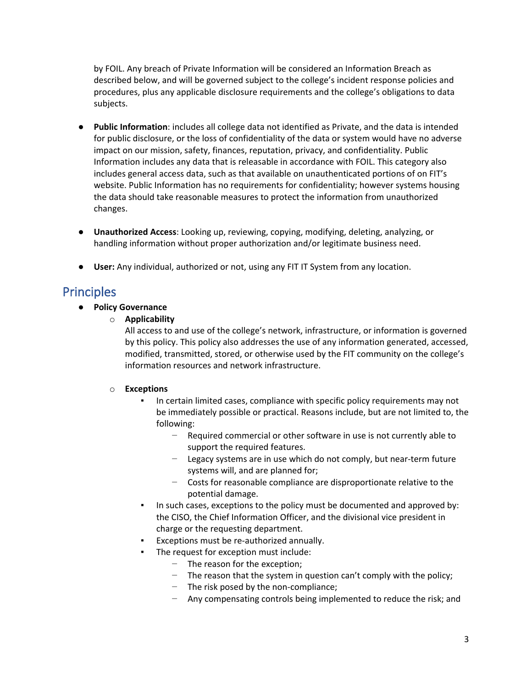by FOIL. Any breach of Private Information will be considered an Information Breach as described below, and will be governed subject to the college's incident response policies and procedures, plus any applicable disclosure requirements and the college's obligations to data subjects.

- **Public Information**: includes all college data not identified as Private, and the data is intended for public disclosure, or the loss of confidentiality of the data or system would have no adverse impact on our mission, safety, finances, reputation, privacy, and confidentiality. Public Information includes any data that is releasable in accordance with FOIL. This category also includes general access data, such as that available on unauthenticated portions of on FIT's website. Public Information has no requirements for confidentiality; however systems housing the data should take reasonable measures to protect the information from unauthorized changes.
- **Unauthorized Access**: Looking up, reviewing, copying, modifying, deleting, analyzing, or handling information without proper authorization and/or legitimate business need.
- **User:** Any individual, authorized or not, using any FIT IT System from any location.

## **Principles**

- **Policy Governance**
	- o **Applicability**

All access to and use of the college's network, infrastructure, or information is governed by this policy. This policy also addresses the use of any information generated, accessed, modified, transmitted, stored, or otherwise used by the FIT community on the college's information resources and network infrastructure.

#### o **Exceptions**

- In certain limited cases, compliance with specific policy requirements may not be immediately possible or practical. Reasons include, but are not limited to, the following:
	- − Required commercial or other software in use is not currently able to support the required features.
	- − Legacy systems are in use which do not comply, but near-term future systems will, and are planned for;
	- − Costs for reasonable compliance are disproportionate relative to the potential damage.
- In such cases, exceptions to the policy must be documented and approved by: the CISO, the Chief Information Officer, and the divisional vice president in charge or the requesting department.
- Exceptions must be re-authorized annually.
- The request for exception must include:
	- − The reason for the exception;
	- − The reason that the system in question can't comply with the policy;
	- − The risk posed by the non-compliance;
	- − Any compensating controls being implemented to reduce the risk; and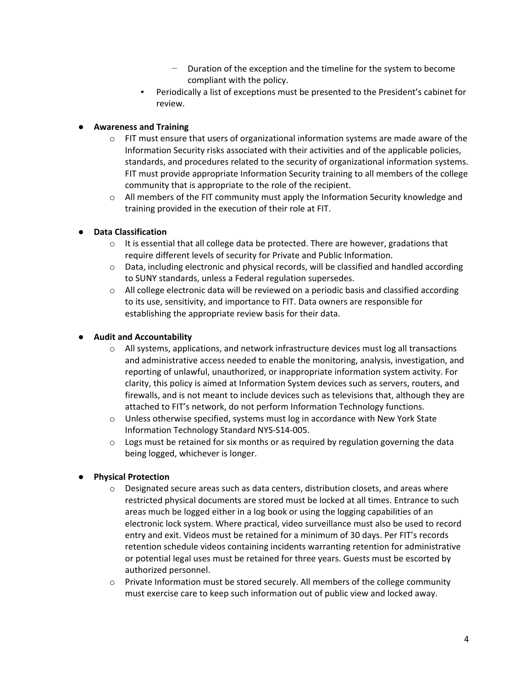- − Duration of the exception and the timeline for the system to become compliant with the policy.
- Periodically a list of exceptions must be presented to the President's cabinet for review.

#### ● **Awareness and Training**

- $\circ$  FIT must ensure that users of organizational information systems are made aware of the Information Security risks associated with their activities and of the applicable policies, standards, and procedures related to the security of organizational information systems. FIT must provide appropriate Information Security training to all members of the college community that is appropriate to the role of the recipient.
- $\circ$  All members of the FIT community must apply the Information Security knowledge and training provided in the execution of their role at FIT.

#### ● **Data Classification**

- $\circ$  It is essential that all college data be protected. There are however, gradations that require different levels of security for Private and Public Information.
- $\circ$  Data, including electronic and physical records, will be classified and handled according to SUNY standards, unless a Federal regulation supersedes.
- $\circ$  All college electronic data will be reviewed on a periodic basis and classified according to its use, sensitivity, and importance to FIT. Data owners are responsible for establishing the appropriate review basis for their data.

#### ● **Audit and Accountability**

- $\circ$  All systems, applications, and network infrastructure devices must log all transactions and administrative access needed to enable the monitoring, analysis, investigation, and reporting of unlawful, unauthorized, or inappropriate information system activity. For clarity, this policy is aimed at Information System devices such as servers, routers, and firewalls, and is not meant to include devices such as televisions that, although they are attached to FIT's network, do not perform Information Technology functions.
- o Unless otherwise specified, systems must log in accordance with New York State Information Technology Standard NYS-S14-005.
- $\circ$  Logs must be retained for six months or as required by regulation governing the data being logged, whichever is longer.

#### ● **Physical Protection**

- o Designated secure areas such as data centers, distribution closets, and areas where restricted physical documents are stored must be locked at all times. Entrance to such areas much be logged either in a log book or using the logging capabilities of an electronic lock system. Where practical, video surveillance must also be used to record entry and exit. Videos must be retained for a minimum of 30 days. Per FIT's records retention schedule videos containing incidents warranting retention for administrative or potential legal uses must be retained for three years. Guests must be escorted by authorized personnel.
- o Private Information must be stored securely. All members of the college community must exercise care to keep such information out of public view and locked away.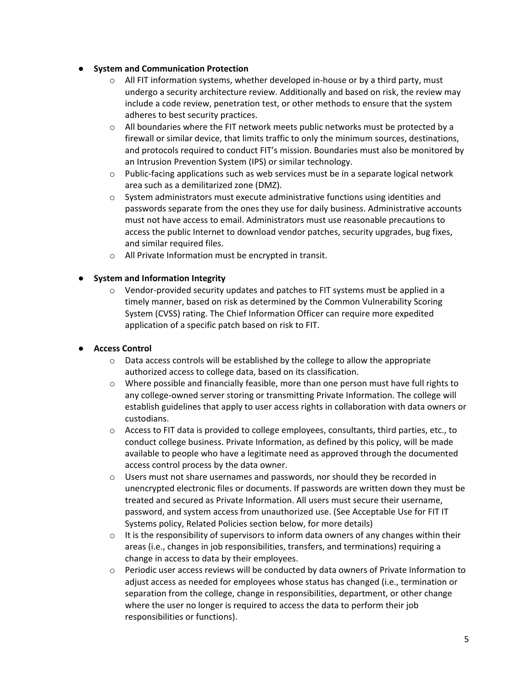#### ● **System and Communication Protection**

- $\circ$  All FIT information systems, whether developed in-house or by a third party, must undergo a security architecture review. Additionally and based on risk, the review may include a code review, penetration test, or other methods to ensure that the system adheres to best security practices.
- $\circ$  All boundaries where the FIT network meets public networks must be protected by a firewall or similar device, that limits traffic to only the minimum sources, destinations, and protocols required to conduct FIT's mission. Boundaries must also be monitored by an Intrusion Prevention System (IPS) or similar technology.
- $\circ$  Public-facing applications such as web services must be in a separate logical network area such as a demilitarized zone (DMZ).
- $\circ$  System administrators must execute administrative functions using identities and passwords separate from the ones they use for daily business. Administrative accounts must not have access to email. Administrators must use reasonable precautions to access the public Internet to download vendor patches, security upgrades, bug fixes, and similar required files.
- o All Private Information must be encrypted in transit.

#### **System and Information Integrity**

 $\circ$  Vendor-provided security updates and patches to FIT systems must be applied in a timely manner, based on risk as determined by the Common Vulnerability Scoring System (CVSS) rating. The Chief Information Officer can require more expedited application of a specific patch based on risk to FIT.

#### ● **Access Control**

- o Data access controls will be established by the college to allow the appropriate authorized access to college data, based on its classification.
- $\circ$  Where possible and financially feasible, more than one person must have full rights to any college-owned server storing or transmitting Private Information. The college will establish guidelines that apply to user access rights in collaboration with data owners or custodians.
- o Access to FIT data is provided to college employees, consultants, third parties, etc., to conduct college business. Private Information, as defined by this policy, will be made available to people who have a legitimate need as approved through the documented access control process by the data owner.
- o Users must not share usernames and passwords, nor should they be recorded in unencrypted electronic files or documents. If passwords are written down they must be treated and secured as Private Information. All users must secure their username, password, and system access from unauthorized use. (See Acceptable Use for FIT IT Systems policy, Related Policies section below, for more details)
- $\circ$  It is the responsibility of supervisors to inform data owners of any changes within their areas (i.e., changes in job responsibilities, transfers, and terminations) requiring a change in access to data by their employees.
- o Periodic user access reviews will be conducted by data owners of Private Information to adjust access as needed for employees whose status has changed (i.e., termination or separation from the college, change in responsibilities, department, or other change where the user no longer is required to access the data to perform their job responsibilities or functions).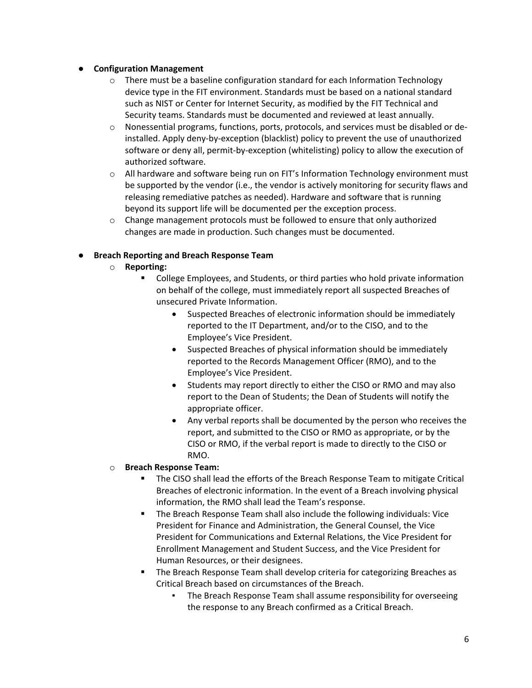#### ● **Configuration Management**

- $\circ$  There must be a baseline configuration standard for each Information Technology device type in the FIT environment. Standards must be based on a national standard such as NIST or Center for Internet Security, as modified by the FIT Technical and Security teams. Standards must be documented and reviewed at least annually.
- o Nonessential programs, functions, ports, protocols, and services must be disabled or deinstalled. Apply deny-by-exception (blacklist) policy to prevent the use of unauthorized software or deny all, permit-by-exception (whitelisting) policy to allow the execution of authorized software.
- $\circ$  All hardware and software being run on FIT's Information Technology environment must be supported by the vendor (i.e., the vendor is actively monitoring for security flaws and releasing remediative patches as needed). Hardware and software that is running beyond its support life will be documented per the exception process.
- $\circ$  Change management protocols must be followed to ensure that only authorized changes are made in production. Such changes must be documented.

#### ● **Breach Reporting and Breach Response Team**

- o **Reporting:**
	- College Employees, and Students, or third parties who hold private information on behalf of the college, must immediately report all suspected Breaches of unsecured Private Information.
		- Suspected Breaches of electronic information should be immediately reported to the IT Department, and/or to the CISO, and to the Employee's Vice President.
		- Suspected Breaches of physical information should be immediately reported to the Records Management Officer (RMO), and to the Employee's Vice President.
		- Students may report directly to either the CISO or RMO and may also report to the Dean of Students; the Dean of Students will notify the appropriate officer.
		- Any verbal reports shall be documented by the person who receives the report, and submitted to the CISO or RMO as appropriate, or by the CISO or RMO, if the verbal report is made to directly to the CISO or RMO.

#### o **Breach Response Team:**

- The CISO shall lead the efforts of the Breach Response Team to mitigate Critical Breaches of electronic information. In the event of a Breach involving physical information, the RMO shall lead the Team's response.
- The Breach Response Team shall also include the following individuals: Vice President for Finance and Administration, the General Counsel, the Vice President for Communications and External Relations, the Vice President for Enrollment Management and Student Success, and the Vice President for Human Resources, or their designees.
- The Breach Response Team shall develop criteria for categorizing Breaches as Critical Breach based on circumstances of the Breach.
	- The Breach Response Team shall assume responsibility for overseeing the response to any Breach confirmed as a Critical Breach.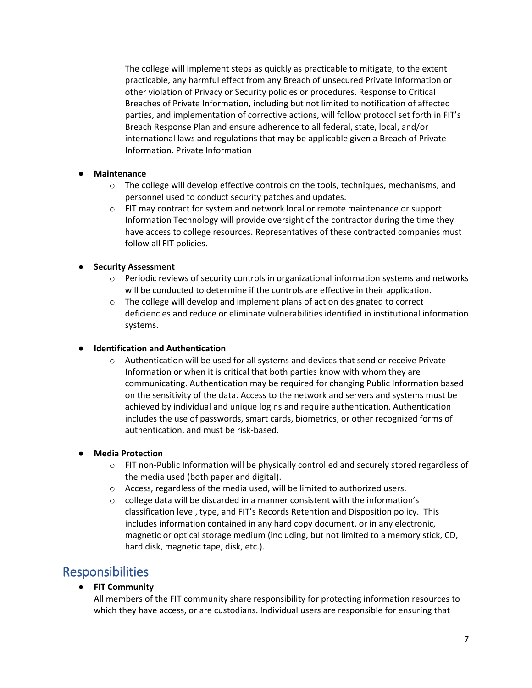The college will implement steps as quickly as practicable to mitigate, to the extent practicable, any harmful effect from any Breach of unsecured Private Information or other violation of Privacy or Security policies or procedures. Response to Critical Breaches of Private Information, including but not limited to notification of affected parties, and implementation of corrective actions, will follow protocol set forth in FIT's Breach Response Plan and ensure adherence to all federal, state, local, and/or international laws and regulations that may be applicable given a Breach of Private Information. Private Information

#### ● **Maintenance**

- $\circ$  The college will develop effective controls on the tools, techniques, mechanisms, and personnel used to conduct security patches and updates.
- o FIT may contract for system and network local or remote maintenance or support. Information Technology will provide oversight of the contractor during the time they have access to college resources. Representatives of these contracted companies must follow all FIT policies.

#### **Security Assessment**

- $\circ$  Periodic reviews of security controls in organizational information systems and networks will be conducted to determine if the controls are effective in their application.
- $\circ$  The college will develop and implement plans of action designated to correct deficiencies and reduce or eliminate vulnerabilities identified in institutional information systems.

#### ● **Identification and Authentication**

o Authentication will be used for all systems and devices that send or receive Private Information or when it is critical that both parties know with whom they are communicating. Authentication may be required for changing Public Information based on the sensitivity of the data. Access to the network and servers and systems must be achieved by individual and unique logins and require authentication. Authentication includes the use of passwords, smart cards, biometrics, or other recognized forms of authentication, and must be risk-based.

#### ● **Media Protection**

- $\circ$  FIT non-Public Information will be physically controlled and securely stored regardless of the media used (both paper and digital).
- o Access, regardless of the media used, will be limited to authorized users.
- $\circ$  college data will be discarded in a manner consistent with the information's classification level, type, and FIT's Records Retention and Disposition policy. This includes information contained in any hard copy document, or in any electronic, magnetic or optical storage medium (including, but not limited to a memory stick, CD, hard disk, magnetic tape, disk, etc.).

### Responsibilities

#### ● **FIT Community**

All members of the FIT community share responsibility for protecting information resources to which they have access, or are custodians. Individual users are responsible for ensuring that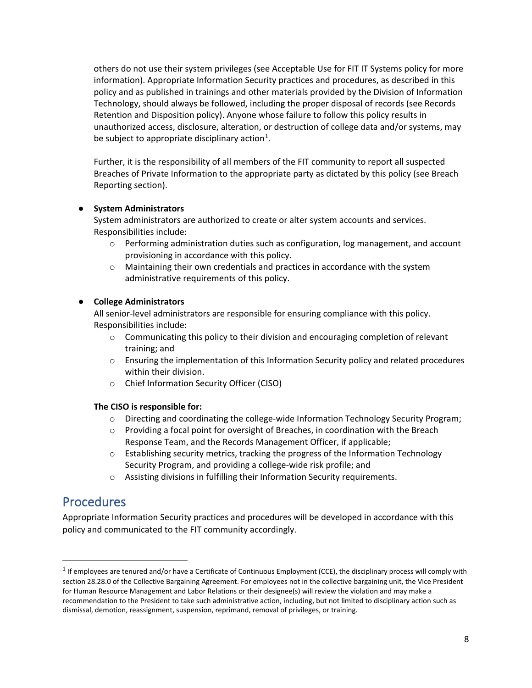others do not use their system privileges (see Acceptable Use for FIT IT Systems policy for more information). Appropriate Information Security practices and procedures, as described in this policy and as published in trainings and other materials provided by the Division of Information Technology, should always be followed, including the proper disposal of records (see Records Retention and Disposition policy). Anyone whose failure to follow this policy results in unauthorized access, disclosure, alteration, or destruction of college data and/or systems, may be subject to appropriate disciplinary action<sup>[1](#page-7-0)</sup>.

Further, it is the responsibility of all members of the FIT community to report all suspected Breaches of Private Information to the appropriate party as dictated by this policy (see Breach Reporting section).

#### ● **System Administrators**

System administrators are authorized to create or alter system accounts and services. Responsibilities include:

- o Performing administration duties such as configuration, log management, and account provisioning in accordance with this policy.
- o Maintaining their own credentials and practices in accordance with the system administrative requirements of this policy.

#### ● **College Administrators**

All senior-level administrators are responsible for ensuring compliance with this policy. Responsibilities include:

- $\circ$  Communicating this policy to their division and encouraging completion of relevant training; and
- $\circ$  Ensuring the implementation of this Information Security policy and related procedures within their division.
- o Chief Information Security Officer (CISO)

#### **The CISO is responsible for:**

- o Directing and coordinating the college-wide Information Technology Security Program;
- o Providing a focal point for oversight of Breaches, in coordination with the Breach Response Team, and the Records Management Officer, if applicable;
- o Establishing security metrics, tracking the progress of the Information Technology Security Program, and providing a college-wide risk profile; and
- o Assisting divisions in fulfilling their Information Security requirements.

### Procedures

Appropriate Information Security practices and procedures will be developed in accordance with this policy and communicated to the FIT community accordingly.

<span id="page-7-0"></span> $<sup>1</sup>$  If employees are tenured and/or have a Certificate of Continuous Employment (CCE), the disciplinary process will comply with</sup> section 28.28.0 of the Collective Bargaining Agreement. For employees not in the collective bargaining unit, the Vice President for Human Resource Management and Labor Relations or their designee(s) will review the violation and may make a recommendation to the President to take such administrative action, including, but not limited to disciplinary action such as dismissal, demotion, reassignment, suspension, reprimand, removal of privileges, or training.